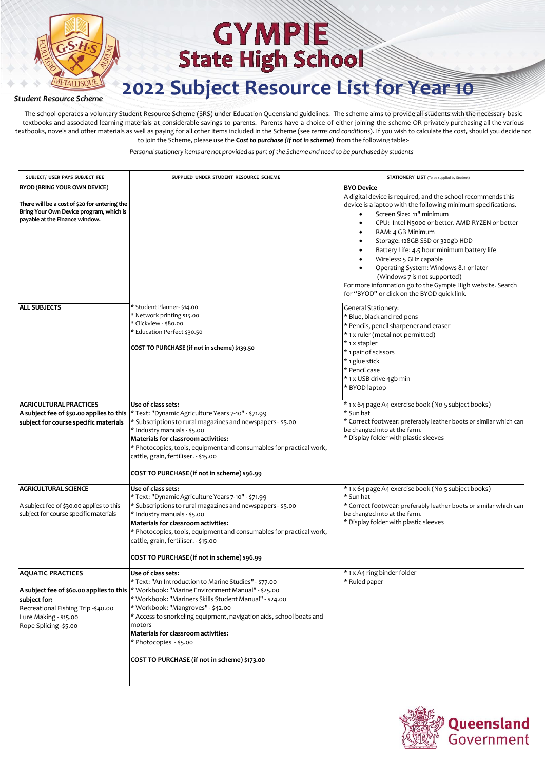

#### *Student Resource Scheme*

The school operates a voluntary Student Resource Scheme (SRS) under Education Queensland guidelines. The scheme aims to provide all students with the necessary basic textbooks and associated learning materials at considerable savings to parents. Parents have a choice of either joining the scheme OR privately purchasing all the various textbooks, novels and other materials as well as paying for all other items included in the Scheme (see *terms and conditions*). If you wish to calculate the cost, should you decide not to join the Scheme, please use the **C***ostto purchase (if notin scheme)* from the following table:-

| SUBJECT/ USER PAYS SUBJECT FEE                                                                                                                                    | SUPPLIED UNDER STUDENT RESOURCE SCHEME                                                                                                                                                                                                                                                                                                                                                                      | <b>STATIONERY LIST</b> (To be supplied by Student)                                                                                                                                                                                                                                                                                                                                                                                                                                                                                                                      |
|-------------------------------------------------------------------------------------------------------------------------------------------------------------------|-------------------------------------------------------------------------------------------------------------------------------------------------------------------------------------------------------------------------------------------------------------------------------------------------------------------------------------------------------------------------------------------------------------|-------------------------------------------------------------------------------------------------------------------------------------------------------------------------------------------------------------------------------------------------------------------------------------------------------------------------------------------------------------------------------------------------------------------------------------------------------------------------------------------------------------------------------------------------------------------------|
|                                                                                                                                                                   |                                                                                                                                                                                                                                                                                                                                                                                                             |                                                                                                                                                                                                                                                                                                                                                                                                                                                                                                                                                                         |
| <b>BYOD (BRING YOUR OWN DEVICE)</b><br>There will be a cost of \$20 for entering the<br>Bring Your Own Device program, which is<br>payable at the Finance window. |                                                                                                                                                                                                                                                                                                                                                                                                             | <b>BYO Device</b><br>A digital device is required, and the school recommends this<br>device is a laptop with the following minimum specifications.<br>Screen Size: 11" minimum<br>CPU: Intel N5000 or better. AMD RYZEN or better<br>RAM: 4 GB Minimum<br>$\bullet$<br>Storage: 128GB SSD or 320gb HDD<br>Battery Life: 4.5 hour minimum battery life<br>Wireless: 5 GHz capable<br>Operating System: Windows 8.1 or later<br>(Windows 7 is not supported)<br>For more information go to the Gympie High website. Search<br>for "BYOD" or click on the BYOD quick link. |
| <b>ALL SUBJECTS</b>                                                                                                                                               | Student Planner-\$14.00<br>Network printing \$15.00 *<br>Clickview - \$80.00<br>Education Perfect \$30.50 *<br>COST TO PURCHASE (if not in scheme) \$139.50                                                                                                                                                                                                                                                 | General Stationery:<br>* Blue, black and red pens<br>* Pencils, pencil sharpener and eraser<br>* 1 x ruler (metal not permitted)<br>* 1 x stapler<br>* 1 pair of scissors<br>* 1 glue stick<br>* Pencil case<br>* 1 x USB drive 4gb min<br>* BYOD laptop                                                                                                                                                                                                                                                                                                                |
| <b>AGRICULTURAL PRACTICES</b>                                                                                                                                     | Use of class sets:                                                                                                                                                                                                                                                                                                                                                                                          | * 1 x 64 page A4 exercise book (No 5 subject books)                                                                                                                                                                                                                                                                                                                                                                                                                                                                                                                     |
| A subject fee of \$30.00 applies to this<br>subject for course specific materials                                                                                 | * Text: "Dynamic Agriculture Years 7-10" - \$71.99<br>* Subscriptions to rural magazines and newspapers - \$5.00<br>* Industry manuals - \$5.00<br>Materials for classroom activities:<br>* Photocopies, tools, equipment and consumables for practical work,<br>cattle, grain, fertiliser. - \$15.00<br>COST TO PURCHASE (if not in scheme) \$96.99                                                        | * Sun hat<br>* Correct footwear: preferably leather boots or similar which can<br>be changed into at the farm.<br>* Display folder with plastic sleeves                                                                                                                                                                                                                                                                                                                                                                                                                 |
| <b>AGRICULTURAL SCIENCE</b>                                                                                                                                       | Use of class sets:                                                                                                                                                                                                                                                                                                                                                                                          | * 1 x 64 page A4 exercise book (No 5 subject books)                                                                                                                                                                                                                                                                                                                                                                                                                                                                                                                     |
| A subject fee of \$30.00 applies to this<br>subject for course specific materials                                                                                 | * Text: "Dynamic Agriculture Years 7-10" - \$71.99<br>* Subscriptions to rural magazines and newspapers - \$5.00<br>* Industry manuals - \$5.00<br>Materials for classroom activities:<br>* Photocopies, tools, equipment and consumables for practical work,<br>cattle, grain, fertiliser. - \$15.00<br>COST TO PURCHASE (if not in scheme) \$96.99                                                        | * Sun hat<br>* Correct footwear: preferably leather boots or similar which can<br>be changed into at the farm.<br>* Display folder with plastic sleeves                                                                                                                                                                                                                                                                                                                                                                                                                 |
| <b>AQUATIC PRACTICES</b>                                                                                                                                          | Use of class sets:                                                                                                                                                                                                                                                                                                                                                                                          | * 1 x A4 ring binder folder                                                                                                                                                                                                                                                                                                                                                                                                                                                                                                                                             |
| A subject fee of \$60.00 applies to this<br>subject for:<br>Recreational Fishing Trip -\$40.00<br>Lure Making - \$15.00<br>Rope Splicing -\$5.00                  | * Text: "An Introduction to Marine Studies" - \$77.00<br>* Workbook: "Marine Environment Manual" - \$25.00<br>* Workbook: "Mariners Skills Student Manual" - \$24.00<br>* Workbook: "Mangroves" - \$42.00<br>* Access to snorkeling equipment, navigation aids, school boats and<br>motors<br>Materials for classroom activities:<br>* Photocopies - \$5.00<br>COST TO PURCHASE (if not in scheme) \$173.00 | * Ruled paper                                                                                                                                                                                                                                                                                                                                                                                                                                                                                                                                                           |

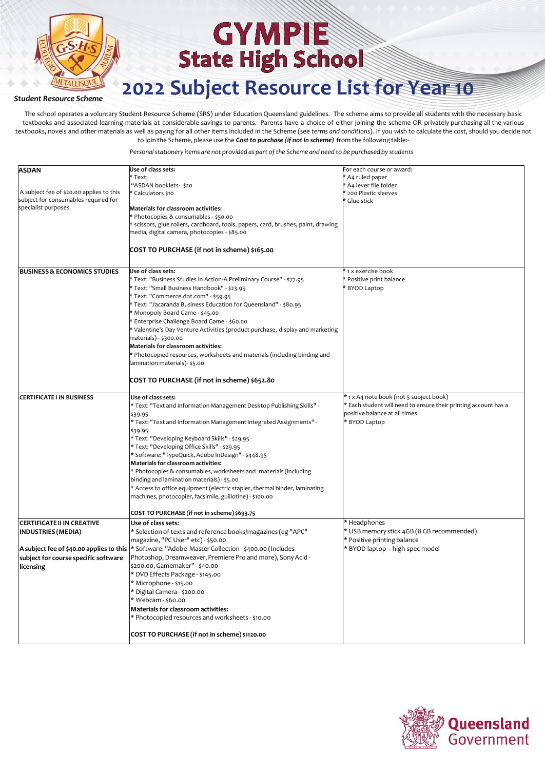

### **2022 Subject Resource List for Year 10**

#### *Student Resource Scheme*

The school operates a voluntary Student Resource Scheme (SRS) under Education Queensland guidelines. The scheme aims to provide all students with the necessary basic textbooks and associated learning materials at considerable savings to parents. Parents have a choice of either joining the scheme OR privately purchasing all the various textbooks, novels and other materials as well as paying for all other items included in the Scheme (see *terms and conditions*). If you wish to calculate the cost, should you decide not to join the Scheme, please use the **C***ostto purchase (if notin scheme)* from the following table:-

| <b>ASDAN</b>                                                                     | Use of class sets:                                                                                                                     | For each course or award:                                       |
|----------------------------------------------------------------------------------|----------------------------------------------------------------------------------------------------------------------------------------|-----------------------------------------------------------------|
|                                                                                  | Text:                                                                                                                                  | * A4 ruled paper                                                |
|                                                                                  | "ASDAN booklets- \$20                                                                                                                  | * A4 lever file folder                                          |
| A subject fee of \$20.00 applies to this<br>subject for consumables required for | Calculators \$10                                                                                                                       | * 200 Plastic sleeves                                           |
| specialist purposes                                                              | <b>Materials for classroom activities:</b>                                                                                             | * Glue stick                                                    |
|                                                                                  | Photocopies & consumables - \$50.00                                                                                                    |                                                                 |
|                                                                                  | scissors, glue rollers, cardboard, tools, papers, card, brushes, paint, drawing                                                        |                                                                 |
|                                                                                  | media, digital camera, photocopies - \$85.00                                                                                           |                                                                 |
|                                                                                  |                                                                                                                                        |                                                                 |
|                                                                                  | COST TO PURCHASE (if not in scheme) \$165.00                                                                                           |                                                                 |
|                                                                                  |                                                                                                                                        |                                                                 |
| <b>BUSINESS &amp; ECONOMICS STUDIES</b>                                          | Use of class sets:                                                                                                                     | * 1 x exercise book                                             |
|                                                                                  | Text: "Business Studies in Action-A Preliminary Course" - \$77.95                                                                      | * Positive print balance                                        |
|                                                                                  | * Text: "Small Business Handbook" - \$23.95                                                                                            | * BYOD Laptop                                                   |
|                                                                                  | Text: "Commerce.dot.com" - \$59.95                                                                                                     |                                                                 |
|                                                                                  | * Text: "Jacaranda Business Education for Queensland" - \$80.95                                                                        |                                                                 |
|                                                                                  | Monopoly Board Game - \$45.00                                                                                                          |                                                                 |
|                                                                                  | Enterprise Challenge Board Game - \$60.00                                                                                              |                                                                 |
|                                                                                  |                                                                                                                                        |                                                                 |
|                                                                                  | Valentine's Day Venture Activities (product purchase, display and marketing<br>materials) - \$300.00                                   |                                                                 |
|                                                                                  | <b>Materials for classroom activities:</b>                                                                                             |                                                                 |
|                                                                                  |                                                                                                                                        |                                                                 |
|                                                                                  | Photocopied resources, worksheets and materials (including binding and                                                                 |                                                                 |
|                                                                                  | lamination materials)- \$5.00                                                                                                          |                                                                 |
|                                                                                  | COST TO PURCHASE (if not in scheme) \$652.80                                                                                           |                                                                 |
|                                                                                  |                                                                                                                                        |                                                                 |
| <b>CERTIFICATE I IN BUSINESS</b>                                                 | Use of class sets:                                                                                                                     | * 1 x A4 note book (not 5 subject book)                         |
|                                                                                  | * Text: "Text and Information Management Desktop Publishing Skills" -                                                                  | * Each student will need to ensure their printing account has a |
|                                                                                  | \$39.95                                                                                                                                | positive balance at all times                                   |
|                                                                                  | * Text: "Text and Information Management Integrated Assignments" -                                                                     | * BYOD Laptop                                                   |
|                                                                                  | \$39.95                                                                                                                                |                                                                 |
|                                                                                  | * Text: "Developing Keyboard Skills" - \$29.95                                                                                         |                                                                 |
|                                                                                  | * Text: "Developing Office Skills" - \$29.95                                                                                           |                                                                 |
|                                                                                  | * Software: "TypeQuick, Adobe InDesign" - \$448.95                                                                                     |                                                                 |
|                                                                                  | Materials for classroom activities:                                                                                                    |                                                                 |
|                                                                                  | * Photocopies & consumables, worksheets and materials (including                                                                       |                                                                 |
|                                                                                  | binding and lamination materials) - \$5.00                                                                                             |                                                                 |
|                                                                                  | * Access to office equipment (electric stapler, thermal binder, laminating                                                             |                                                                 |
|                                                                                  | machines, photocopier, facsimile, guillotine) - \$100.00                                                                               |                                                                 |
|                                                                                  | COST TO PURCHASE (if not in scheme) \$693.75                                                                                           |                                                                 |
| <b>CERTIFICATE II IN CREATIVE</b>                                                | Use of class sets:                                                                                                                     | * Headphones                                                    |
|                                                                                  | * Selection of texts and reference books/magazines (eg "APC"                                                                           | * USB memory stick 4GB (8 GB recommended)                       |
| <b>INDUSTRIES (MEDIA)</b>                                                        |                                                                                                                                        | * Positive printing balance                                     |
|                                                                                  | magazine, "PC User" etc) - \$50.00<br>A subject fee of \$40.00 applies to this * Software: "Adobe Master Collection-\$400.00 (Includes | * BYOD laptop - high spec model                                 |
|                                                                                  |                                                                                                                                        |                                                                 |
| subject for course specific software                                             | Photoshop, Dreamweaver, Premiere Pro and more), Sony Acid -                                                                            |                                                                 |
| licensing                                                                        | \$200.00, Gamemaker" - \$40.00                                                                                                         |                                                                 |
|                                                                                  | * DVD Effects Package - \$145.00                                                                                                       |                                                                 |
|                                                                                  | * Microphone - \$15.00                                                                                                                 |                                                                 |
|                                                                                  | * Digital Camera - \$200.00                                                                                                            |                                                                 |
|                                                                                  | * Webcam - \$60.00                                                                                                                     |                                                                 |
|                                                                                  | Materials for classroom activities:                                                                                                    |                                                                 |
|                                                                                  | * Photocopied resources and worksheets - \$10.00                                                                                       |                                                                 |
|                                                                                  | COST TO PURCHASE (if not in scheme) \$1120.00                                                                                          |                                                                 |
|                                                                                  |                                                                                                                                        |                                                                 |

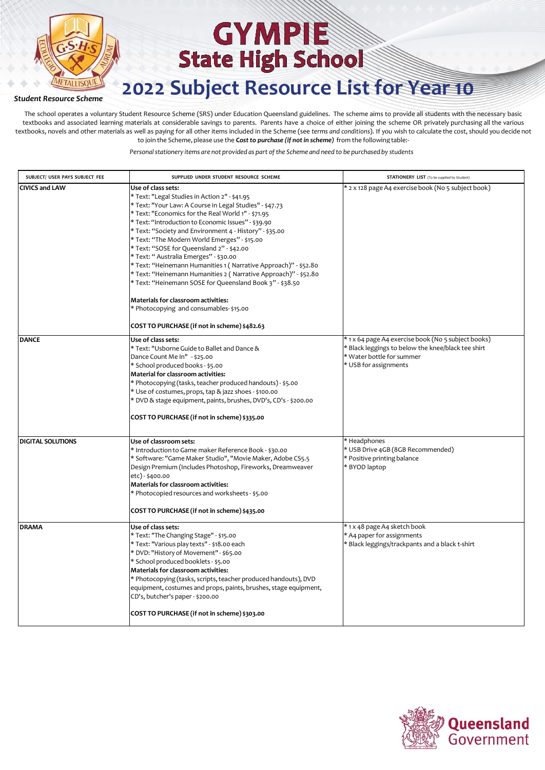

#### *Student Resource Scheme*

The school operates a voluntary Student Resource Scheme (SRS) under Education Queensland guidelines. The scheme aims to provide all students with the necessary basic textbooks and associated learning materials at considerable savings to parents. Parents have a choice of either joining the scheme OR privately purchasing all the various textbooks, novels and other materials as well as paying for all other items included in the Scheme (see *terms and conditions*). If you wish to calculate the cost, should you decide not to join the Scheme, please use the **C***ostto purchase (if notin scheme)* from the following table:-

| SUBJECT/ USER PAYS SUBJECT FEE | SUPPLIED UNDER STUDENT RESOURCE SCHEME                                                                                                                                                                                                                                                                                                                                                                                                                                                                                                                                                                                                                                                                                                                                             | <b>STATIONERY LIST</b> (To be supplied by Student)                                                                                                              |
|--------------------------------|------------------------------------------------------------------------------------------------------------------------------------------------------------------------------------------------------------------------------------------------------------------------------------------------------------------------------------------------------------------------------------------------------------------------------------------------------------------------------------------------------------------------------------------------------------------------------------------------------------------------------------------------------------------------------------------------------------------------------------------------------------------------------------|-----------------------------------------------------------------------------------------------------------------------------------------------------------------|
| <b>CIVICS and LAW</b>          | Use of class sets:<br>* Text: "Legal Studies in Action 2" - \$41.95<br>* Text: "Your Law: A Course in Legal Studies" - \$47.73<br>* Text: "Economics for the Real World 1" - \$71.95<br>* Text: "Introduction to Economic Issues" - \$39.90<br>* Text: "Society and Environment 4 - History" - \$35.00<br>* Text: "The Modern World Emerges" - \$15.00<br>* Text: "SOSE for Queensland 2" - \$42.00<br>* Text: " Australia Emerges" - \$30.00<br>* Text: "Heinemann Humanities 1 ( Narrative Approach)" - \$52.80<br>* Text: "Heinemann Humanities 2 ( Narrative Approach)" - \$52.80<br>* Text: "Heinemann SOSE for Queensland Book 3" - \$38.50<br>Materials for classroom activities:<br>* Photocopying and consumables-\$15.00<br>COST TO PURCHASE (if not in scheme) \$482.63 | * 2 x 128 page A4 exercise book (No 5 subject book)                                                                                                             |
| <b>DANCE</b>                   | Use of class sets:<br>* Text: "Usborne Guide to Ballet and Dance &<br>Dance Count Me In" - \$25.00<br>* School produced books - \$5.00<br>Material for classroom activities:<br>* Photocopying (tasks, teacher produced handouts) - \$5.00<br>* Use of costumes, props, tap & jazz shoes - \$100.00<br>* DVD & stage equipment, paints, brushes, DVD's, CD's - \$200.00<br>COST TO PURCHASE (if not in scheme) \$335.00                                                                                                                                                                                                                                                                                                                                                            | * 1 x 64 page A4 exercise book (No 5 subject books)<br>* Black leggings to below the knee/black tee shirt<br>* Water bottle for summer<br>* USB for assignments |
| <b>DIGITAL SOLUTIONS</b>       | Use of classroom sets:<br>* Introduction to Game maker Reference Book - \$30.00<br>* Software: "Game Maker Studio", "Movie Maker, Adobe CS5.5<br>Design Premium (Includes Photoshop, Fireworks, Dreamweaver<br>etc) - \$400.00<br>Materials for classroom activities:<br>* Photocopied resources and worksheets - \$5.00<br>COST TO PURCHASE (if not in scheme) \$435.00                                                                                                                                                                                                                                                                                                                                                                                                           | * Headphones<br>* USB Drive 4GB (8GB Recommended)<br>* Positive printing balance<br>* BYOD laptop                                                               |
| <b>DRAMA</b>                   | Use of class sets:<br>* Text: "The Changing Stage" - \$15.00<br>* Text: "Various play texts" - \$18.00 each<br>* DVD: "History of Movement" - \$65.00<br>* School produced booklets - \$5.00<br>Materials for classroom activities:<br>* Photocopying (tasks, scripts, teacher produced handouts), DVD<br>equipment, costumes and props, paints, brushes, stage equipment,<br>CD's, butcher's paper - \$200.00<br>COST TO PURCHASE (if not in scheme) \$303.00                                                                                                                                                                                                                                                                                                                     | * 1 x 48 page A4 sketch book<br>* A4 paper for assignments<br>* Black leggings/trackpants and a black t-shirt                                                   |

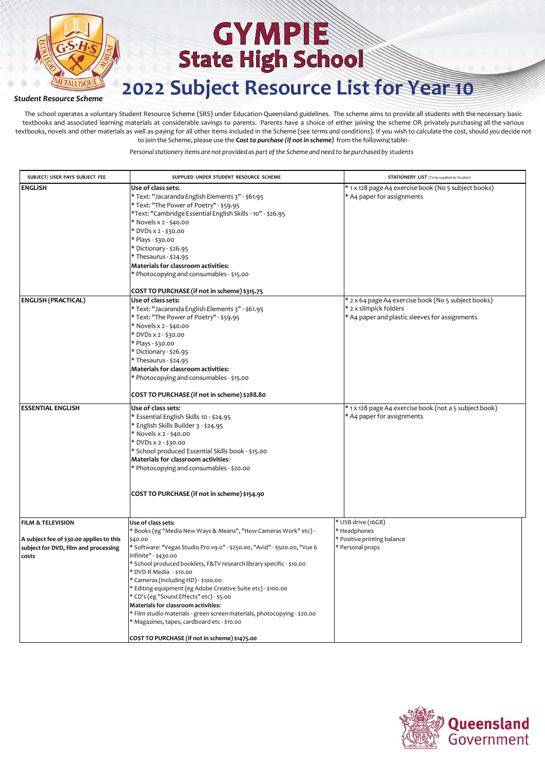

#### *Student Resource Scheme*

The school operates a voluntary Student Resource Scheme (SRS) under Education Queensland guidelines. The scheme aims to provide all students with the necessary basic textbooks and associated learning materials at considerable savings to parents. Parents have a choice of either joining the scheme OR privately purchasing all the various textbooks, novels and other materials as well as paying for all other items included in the Scheme (see *terms and conditions*). If you wish to calculate the cost, should you decide not to join the Scheme, please use the **C***ostto purchase (if notin scheme)* from the following table:-

| SUBJECT/ USER PAYS SUBJECT FEE                                                                                            | SUPPLIED UNDER STUDENT RESOURCE SCHEME                                                                                                                                                                                                                                                                                                                                                                                                                                                                                                                                                                                                                                     | <b>STATIONERY LIST</b> (To be supplied by Student)                                                                              |
|---------------------------------------------------------------------------------------------------------------------------|----------------------------------------------------------------------------------------------------------------------------------------------------------------------------------------------------------------------------------------------------------------------------------------------------------------------------------------------------------------------------------------------------------------------------------------------------------------------------------------------------------------------------------------------------------------------------------------------------------------------------------------------------------------------------|---------------------------------------------------------------------------------------------------------------------------------|
| <b>ENGLISH</b>                                                                                                            | Use of class sets:<br>* Text: "Jacaranda English Elements 3" - \$61.95<br>* Text: "The Power of Poetry" - \$59.95<br>*Text: "Cambridge Essential English Skills - 10" - \$26.95<br>* Novels x 2 - \$40.00<br>* DVDs x 2 - \$30.00<br>* Plays - \$30.00<br>* Dictionary - \$26.95<br>* Thesaurus - \$24.95<br>Materials for classroom activities:<br>* Photocopying and consumables - \$15.00<br>COST TO PURCHASE (if not in scheme) \$315.75                                                                                                                                                                                                                               | * 1 x 128 page A4 exercise book (No 5 subject books)<br>* A4 paper for assignments                                              |
| <b>ENGLISH (PRACTICAL)</b>                                                                                                | Use of class sets:<br>* Text: "Jacaranda English Elements 3" - \$61.95<br>* Text: "The Power of Poetry" - \$59.95<br>* Novels x 2 - \$40.00<br>* DVDs x 2 - \$30.00<br>* Plays - \$30.00<br>* Dictionary - \$26.95<br>* Thesaurus - \$24.95<br>Materials for classroom activities:<br>* Photocopying and consumables - \$15.00<br>COST TO PURCHASE (if not in scheme) \$288.80                                                                                                                                                                                                                                                                                             | * 2 x 64 page A4 exercise book (No 5 subject books)<br>* 2 x slimpick folders<br>* A4 paper and plastic sleeves for assignments |
| <b>ESSENTIAL ENGLISH</b>                                                                                                  | Use of class sets:<br>* Essential English Skills 10 - \$24.95<br>* English Skills Builder 3 - \$24.95<br>* Novels x 2 - \$40.00<br>* DVDs x 2 - \$30.00<br>* School produced Essential Skills book - \$15.00<br>Materials for classroom activities:<br>* Photocopying and consumables - \$20.00<br>COST TO PURCHASE (if not in scheme) \$154.90                                                                                                                                                                                                                                                                                                                            | * 1 x 128 page A4 exercise book (not a 5 subject book)<br>* A4 paper for assignments                                            |
| <b>FILM &amp; TELEVISION</b><br>A subject fee of \$30.00 applies to this<br>subject for DVD, film and processing<br>costs | Use of class sets:<br>* Books (eg "Media New Ways & Means", "How Cameras Work" etc) -<br>\$40.00<br>* Software: "Vegas Studio Pro v9.0" - \$250.00, "Avid" - \$500.00, "Vue 6<br>Infinite" - \$430.00<br>School produced booklets, F&TV research library specific - \$10.00<br>* DVD-R Media - \$10.00<br>* Cameras (including HD) - \$100.00<br>Editing equipment (eg Adobe Creative Suite etc) - \$100.00<br>* CD's (eg "Sound Effects" etc) - \$5.00<br>Materials for classroom activities:<br>* Film studio materials - green screen materials, photocopying - \$20.00<br>* Magazines, tapes, cardboard etc - \$10.00<br>COST TO PURCHASE (if not in scheme) \$1475.00 | * USB drive (16GB)<br>* Headphones<br>* Positive printing balance<br>* Personal props                                           |

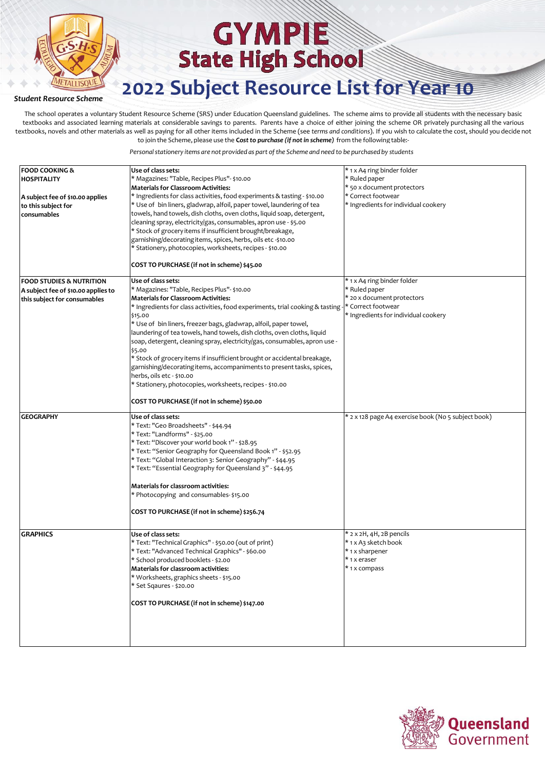

#### *Student Resource Scheme*

The school operates a voluntary Student Resource Scheme (SRS) under Education Queensland guidelines. The scheme aims to provide all students with the necessary basic textbooks and associated learning materials at considerable savings to parents. Parents have a choice of either joining the scheme OR privately purchasing all the various textbooks, novels and other materials as well as paying for all other items included in the Scheme (see *terms and conditions*). If you wish to calculate the cost, should you decide not to join the Scheme, please use the **C***ostto purchase (if notin scheme)* from the following table:-

| <b>FOOD COOKING &amp;</b><br><b>HOSPITALITY</b><br>A subject fee of \$10.00 applies<br>to this subject for<br>consumables | Use of class sets:<br>* Magazines: "Table, Recipes Plus"- \$10.00<br><b>Materials for Classroom Activities:</b><br>* Ingredients for class activities, food experiments & tasting - \$10.00<br>* Use of bin liners, gladwrap, alfoil, paper towel, laundering of tea<br>towels, hand towels, dish cloths, oven cloths, liquid soap, detergent,<br>cleaning spray, electricity/gas, consumables, apron use - \$5.00<br>* Stock of grocery items if insufficient brought/breakage,<br>garnishing/decoratingitems, spices, herbs, oils etc -\$10.00<br>* Stationery, photocopies, worksheets, recipes - \$10.00<br>COST TO PURCHASE (if not in scheme) \$45.00                                                                                                           | * 1 x A4 ring binder folder<br>* Ruled paper<br>* 50 x document protectors<br>* Correct footwear<br>* Ingredients for individual cookery |
|---------------------------------------------------------------------------------------------------------------------------|-----------------------------------------------------------------------------------------------------------------------------------------------------------------------------------------------------------------------------------------------------------------------------------------------------------------------------------------------------------------------------------------------------------------------------------------------------------------------------------------------------------------------------------------------------------------------------------------------------------------------------------------------------------------------------------------------------------------------------------------------------------------------|------------------------------------------------------------------------------------------------------------------------------------------|
| <b>FOOD STUDIES &amp; NUTRITION</b><br>A subject fee of \$10.00 applies to<br>this subject for consumables                | Use of class sets:<br>* Magazines: "Table, Recipes Plus"- \$10.00<br><b>Materials for Classroom Activities:</b><br>* Ingredients for class activities, food experiments, trial cooking & tasting - * Correct footwear<br>\$15.00<br>* Use of bin liners, freezer bags, gladwrap, alfoil, paper towel,<br>laundering of tea towels, hand towels, dish cloths, oven cloths, liquid<br>soap, detergent, cleaning spray, electricity/gas, consumables, apron use -<br>\$5.00<br>* Stock of grocery items if insufficient brought or accidental breakage,<br>garnishing/decorating items, accompaniments to present tasks, spices,<br>herbs, oils etc - \$10.00<br>* Stationery, photocopies, worksheets, recipes - \$10.00<br>COST TO PURCHASE (if not in scheme) \$50.00 | * 1 x A4 ring binder folder<br>* Ruled paper<br>* 20 x document protectors<br>* Ingredients for individual cookery                       |
| <b>GEOGRAPHY</b>                                                                                                          | Use of class sets:<br>* Text: "Geo Broadsheets" - \$44.94<br>* Text: "Landforms" - \$25.00<br>* Text: "Discover your world book 1" - \$28.95<br>* Text: "Senior Geography for Queensland Book 1" - \$52.95<br>* Text: "Global Interaction 3: Senior Geography" - \$44.95<br>* Text: "Essential Geography for Queensland 3" - \$44.95<br><b>Materials for classroom activities:</b><br>* Photocopying and consumables-\$15.00<br>COST TO PURCHASE (if not in scheme) \$256.74                                                                                                                                                                                                                                                                                          | * 2 x 128 page A4 exercise book (No 5 subject book)                                                                                      |
| <b>GRAPHICS</b>                                                                                                           | Use of class sets:<br>* Text: "Technical Graphics" - \$50.00 (out of print)<br>* Text: "Advanced Technical Graphics" - \$60.00<br>* School produced booklets - \$2.00<br>Materials for classroom activities:<br>* Worksheets, graphics sheets - \$15.00<br>* Set Sqaures - \$20.00<br>COST TO PURCHASE (if not in scheme) \$147.00                                                                                                                                                                                                                                                                                                                                                                                                                                    | $*$ 2 x 2H, 4H, 2B pencils<br>* 1 x A3 sketch book<br>* 1 x sharpener<br>* 1 x eraser<br>* 1 x compass                                   |

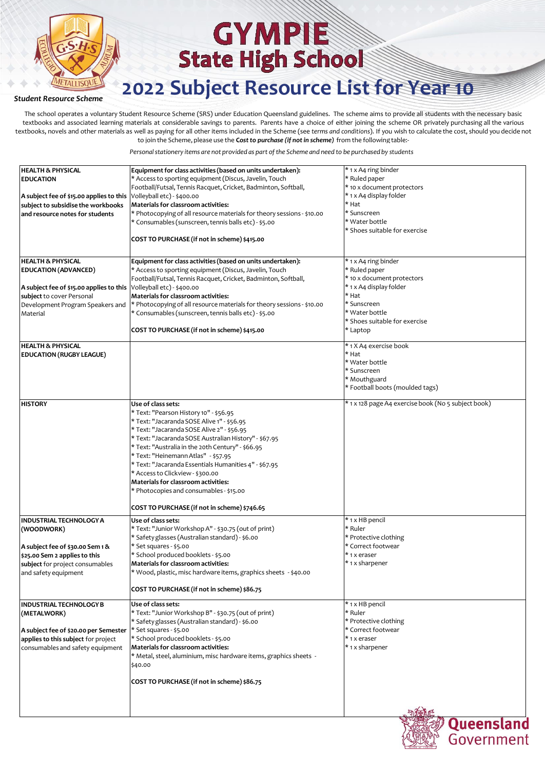

### **2022 Subject Resource List for Year 10**

#### *Student Resource Scheme*

The school operates a voluntary Student Resource Scheme (SRS) under Education Queensland guidelines. The scheme aims to provide all students with the necessary basic textbooks and associated learning materials at considerable savings to parents. Parents have a choice of either joining the scheme OR privately purchasing all the various textbooks, novels and other materials as well as paying for all other items included in the Scheme (see *terms and conditions*). If you wish to calculate the cost, should you decide not to join the Scheme, please use the **C***ostto purchase (if notin scheme)* from the following table:-

| <b>HEALTH &amp; PHYSICAL</b>             | Equipment for class activities (based on units undertaken):            | * 1 x A4 ring binder                                |
|------------------------------------------|------------------------------------------------------------------------|-----------------------------------------------------|
| <b>EDUCATION</b>                         | * Access to sporting equipment (Discus, Javelin, Touch                 | * Ruled paper                                       |
|                                          | Football/Futsal, Tennis Racquet, Cricket, Badminton, Softball,         | * 10 x document protectors                          |
| A subject fee of \$15.00 applies to this | Volleyball etc) - \$400.00                                             | * 1 x A4 display folder                             |
| subject to subsidise the workbooks       | <b>Materials for classroom activities:</b>                             | * Hat                                               |
| and resource notes for students          | * Photocopying of all resource materials for theory sessions - \$10.00 | * Sunscreen                                         |
|                                          | * Consumables (sunscreen, tennis balls etc) - \$5.00                   | * Water bottle                                      |
|                                          |                                                                        | * Shoes suitable for exercise                       |
|                                          | COST TO PURCHASE (if not in scheme) \$415.00                           |                                                     |
|                                          |                                                                        |                                                     |
| <b>HEALTH &amp; PHYSICAL</b>             | Equipment for class activities (based on units undertaken):            | * 1 x A4 ring binder                                |
| <b>EDUCATION (ADVANCED)</b>              | * Access to sporting equipment (Discus, Javelin, Touch                 | * Ruled paper                                       |
|                                          | Football/Futsal, Tennis Racquet, Cricket, Badminton, Softball,         | * 10 x document protectors                          |
| A subject fee of \$15.00 applies to this | Volleyball etc) - \$400.00                                             | * 1 x A4 display folder                             |
| subject to cover Personal                | Materials for classroom activities:                                    | * Hat                                               |
| Development Program Speakers and         | * Photocopying of all resource materials for theory sessions - \$10.00 | * Sunscreen                                         |
| Material                                 | * Consumables (sunscreen, tennis balls etc) - \$5.00                   | * Water bottle                                      |
|                                          |                                                                        | * Shoes suitable for exercise                       |
|                                          | COST TO PURCHASE (if not in scheme) \$415.00                           | * Laptop                                            |
|                                          |                                                                        |                                                     |
| <b>HEALTH &amp; PHYSICAL</b>             |                                                                        | * 1 X A4 exercise book                              |
| <b>EDUCATION (RUGBY LEAGUE)</b>          |                                                                        | * Hat                                               |
|                                          |                                                                        | * Water bottle                                      |
|                                          |                                                                        | * Sunscreen                                         |
|                                          |                                                                        | * Mouthguard                                        |
|                                          |                                                                        | * Football boots (moulded tags)                     |
|                                          |                                                                        |                                                     |
| <b>HISTORY</b>                           | Use of class sets:                                                     | * 1 x 128 page A4 exercise book (No 5 subject book) |
|                                          | * Text: "Pearson History 10" - \$56.95                                 |                                                     |
|                                          | * Text: "Jacaranda SOSE Alive 1" - \$56.95                             |                                                     |
|                                          | * Text: "Jacaranda SOSE Alive 2" - \$56.95                             |                                                     |
|                                          | * Text: "Jacaranda SOSE Australian History" - \$67.95                  |                                                     |
|                                          | * Text: "Australia in the 20th Century" - \$66.95                      |                                                     |
|                                          | * Text: "Heinemann Atlas" - \$57.95                                    |                                                     |
|                                          | * Text: "Jacaranda Essentials Humanities 4" - \$67.95                  |                                                     |
|                                          | * Access to Clickview - \$300.00                                       |                                                     |
|                                          | Materials for classroom activities:                                    |                                                     |
|                                          | * Photocopies and consumables - \$15.00                                |                                                     |
|                                          | COST TO PURCHASE (if not in scheme) \$746.65                           |                                                     |
| <b>INDUSTRIAL TECHNOLOGY A</b>           | Use of class sets:                                                     | * 1 x HB pencil                                     |
|                                          | * Text: "Junior Workshop A" - \$30.75 (out of print)                   | * Ruler                                             |
| (WOODWORK)                               |                                                                        |                                                     |
|                                          | * Safety glasses (Australian standard) - \$6.00                        | * Protective clothing                               |
| A subject fee of \$30.00 Sem 1 &         | * Set squares - \$5.00                                                 | * Correct footwear                                  |
| \$25.00 Sem 2 applies to this            | * School produced booklets - \$5.00                                    | * 1 x eraser                                        |
| subject for project consumables          | <b>Materials for classroom activities:</b>                             | * 1 x sharpener                                     |
| and safety equipment                     | * Wood, plastic, misc hardware items, graphics sheets  - \$40.00 °     |                                                     |
|                                          | COST TO PURCHASE (if not in scheme) \$86.75                            |                                                     |
| INDUSTRIAL TECHNOLOGY B                  | Use of class sets:                                                     | * 1 x HB pencil                                     |
| (METALWORK)                              | * Text: "Junior Workshop B" - \$30.75 (out of print)                   | * Ruler                                             |
|                                          | * Safety glasses (Australian standard) - \$6.00                        | * Protective clothing                               |
| A subject fee of \$20.00 per Semester    | * Set squares - \$5.00                                                 | * Correct footwear                                  |
| applies to this subject for project      | * School produced booklets - \$5.00                                    | * 1 x eraser                                        |
| consumables and safety equipment         | <b>Materials for classroom activities:</b>                             | * 1 x sharpener                                     |
|                                          | * Metal, steel, aluminium, misc hardware items, graphics sheets -      |                                                     |
|                                          | \$40.00                                                                |                                                     |
|                                          |                                                                        |                                                     |
|                                          | COST TO PURCHASE (if not in scheme) \$86.75                            |                                                     |
|                                          |                                                                        |                                                     |
|                                          |                                                                        |                                                     |
|                                          |                                                                        |                                                     |

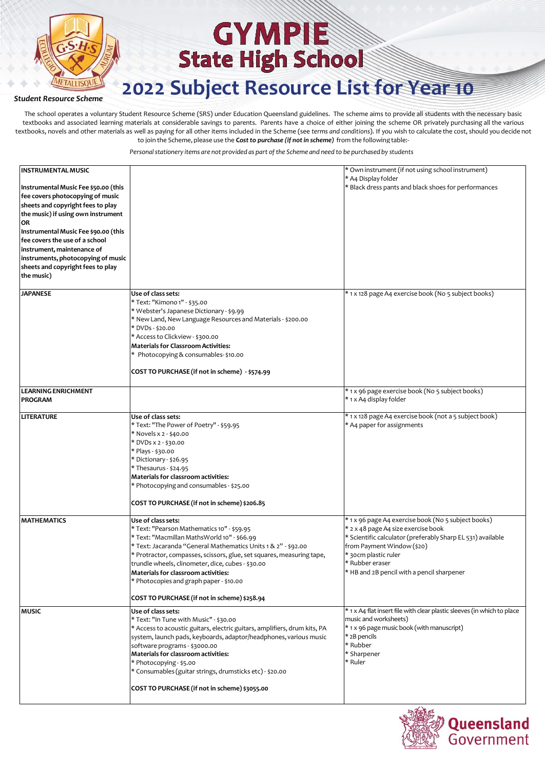

### **2022 Subject Resource List for Year 10**

#### *Student Resource Scheme*

The school operates a voluntary Student Resource Scheme (SRS) under Education Queensland guidelines. The scheme aims to provide all students with the necessary basic textbooks and associated learning materials at considerable savings to parents. Parents have a choice of either joining the scheme OR privately purchasing all the various textbooks, novels and other materials as well as paying for all other items included in the Scheme (see *terms and conditions*). If you wish to calculate the cost, should you decide not to join the Scheme, please use the **C***ostto purchase (if notin scheme)* from the following table:-

| <b>INSTRUMENTAL MUSIC</b><br>Instrumental Music Fee \$50.00 (this<br>fee covers photocopying of music<br>sheets and copyright fees to play<br>the music) if using own instrument<br>OR<br>Instrumental Music Fee \$90.00 (this<br>fee covers the use of a school<br>instrument, maintenance of<br>instruments, photocopying of music<br>sheets and copyright fees to play<br>the music) |                                                                                                                                                                                                                                                                                                                                                                                                                                                         | * Own instrument (if not using school instrument)<br>* A4 Display folder<br>* Black dress pants and black shoes for performances                                                                                                                                                 |
|-----------------------------------------------------------------------------------------------------------------------------------------------------------------------------------------------------------------------------------------------------------------------------------------------------------------------------------------------------------------------------------------|---------------------------------------------------------------------------------------------------------------------------------------------------------------------------------------------------------------------------------------------------------------------------------------------------------------------------------------------------------------------------------------------------------------------------------------------------------|----------------------------------------------------------------------------------------------------------------------------------------------------------------------------------------------------------------------------------------------------------------------------------|
| <b>JAPANESE</b>                                                                                                                                                                                                                                                                                                                                                                         | Use of class sets:<br>* Text: "Kimono 1" - \$35.00<br>* Webster's Japanese Dictionary - \$9.99<br>* New Land, New Language Resources and Materials - \$200.00<br>* DVDs - \$20.00<br>* Access to Clickview - \$300.00<br><b>Materials for Classroom Activities:</b><br>* Photocopying & consumables-\$10.00<br>COST TO PURCHASE (if not in scheme) - \$574.99                                                                                           | * 1 x 128 page A4 exercise book (No 5 subject books)                                                                                                                                                                                                                             |
| <b>LEARNING ENRICHMENT</b><br><b>PROGRAM</b>                                                                                                                                                                                                                                                                                                                                            |                                                                                                                                                                                                                                                                                                                                                                                                                                                         | * 1 x 96 page exercise book (No 5 subject books)<br>* 1 x A4 display folder                                                                                                                                                                                                      |
| <b>LITERATURE</b>                                                                                                                                                                                                                                                                                                                                                                       | Use of class sets:<br>* Text: "The Power of Poetry" - \$59.95<br>* Novels x 2 - \$40.00<br>* DVDs x 2 - \$30.00<br>* Plays - \$30.00<br>* Dictionary - \$26.95<br>* Thesaurus - \$24.95<br><b>Materials for classroom activities:</b><br>* Photocopying and consumables - \$25.00<br>COST TO PURCHASE (if not in scheme) \$206.85                                                                                                                       | * 1 x 128 page A4 exercise book (not a 5 subject book)<br>* A4 paper for assignments                                                                                                                                                                                             |
| <b>MATHEMATICS</b>                                                                                                                                                                                                                                                                                                                                                                      | Use of class sets:<br>* Text: "Pearson Mathematics 10" - \$59.95<br>* Text: "Macmillan MathsWorld 10" - \$66.99<br>* Text: Jacaranda "General Mathematics Units 1 & 2" - \$92.00<br>* Protractor, compasses, scissors, glue, set squares, measuring tape,<br>trundle wheels, clinometer, dice, cubes - \$30.00<br><b>Materials for classroom activities:</b><br>* Photocopies and graph paper - \$10.00<br>COST TO PURCHASE (if not in scheme) \$258.94 | * 1 x 96 page A4 exercise book (No 5 subject books)<br>* 2 x 48 page A4 size exercise book<br>* Scientific calculator (preferably Sharp EL 531) available<br>from Payment Window (\$20)<br>* 30cm plastic ruler<br>* Rubber eraser<br>* HB and 2B pencil with a pencil sharpener |
| <b>MUSIC</b>                                                                                                                                                                                                                                                                                                                                                                            | Use of class sets:<br>* Text: "In Tune with Music" - \$30.00<br>* Access to acoustic guitars, electric guitars, amplifiers, drum kits, PA<br>system, launch pads, keyboards, adaptor/headphones, various music<br>software programs - \$3000.00<br>Materials for classroom activities:<br>* Photocopying - \$5.00<br>* Consumables (guitar strings, drumsticks etc) - \$20.00<br>COST TO PURCHASE (if not in scheme) \$3055.00                          | * 1 x A4 flat insert file with clear plastic sleeves (in which to place<br>music and worksheets)<br>* 1 x 96 page music book (with manuscript)<br>* 2B pencils<br>* Rubber<br>* Sharpener<br>* Ruler                                                                             |